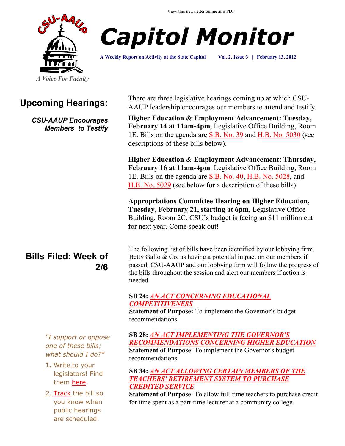View this newsletter online as a PDF





**A Weekly Report on Activity at the State Capitol Vol. 2, Issue 3 | February 13, 2012**

## **Upcoming Hearings:**

*CSU-AAUP Encourages Members to Testify*

# **Bills Filed: Week of 2/6**

*"I support or oppose one of these bills; what should I do?"*

- 1. Write to your legislators! Find them [here.](http://www.congressweb.com/cweb4/index.cfm?orgcode=BGAUP)
- 2. [Track](http://www.cga.ct.gov/aspx/CGAPublicBillTrack/Register.aspx) the bill so you know when public hearings are scheduled.

There are three legislative hearings coming up at which CSU-AAUP leadership encourages our members to attend and testify.

**Higher Education & Employment Advancement: Tuesday, February 14 at 11am-4pm**, Legislative Office Building, Room 1E. Bills on the agenda are [S.B. No. 39](http://www.cga.ct.gov/asp/cgabillstatus/cgabillstatus.asp?selBillType=Bill&bill_num=SB00039&which_year=2012) and [H.B. No. 5030](http://www.cga.ct.gov/asp/cgabillstatus/cgabillstatus.asp?selBillType=Bill&bill_num=HB05030&which_year=2012) (see descriptions of these bills below).

**Higher Education & Employment Advancement: Thursday, February 16 at 11am-4pm**, Legislative Office Building, Room 1E. Bills on the agenda are S.B. No. 40, [H.B. No. 5028,](http://www.cga.ct.gov/asp/cgabillstatus/cgabillstatus.asp?selBillType=Bill&bill_num=HB05028&which_year=2012) and [H.B. No. 5029](http://www.cga.ct.gov/asp/cgabillstatus/cgabillstatus.asp?selBillType=Bill&bill_num=HB05029&which_year=2012) (see below for a description of these bills).

**Appropriations Committee Hearing on Higher Education, Tuesday, February 21, starting at 6pm**, Legislative Office Building, Room 2C. CSU's budget is facing an \$11 million cut for next year. Come speak out!

The following list of bills have been identified by our lobbying firm, [Betty Gallo & Co,](http://www.bettygallo.com/) as having a potential impact on our members if passed. CSU-AAUP and our lobbying firm will follow the progress of the bills throughout the session and alert our members if action is needed.

### **SB 24:** *[AN ACT CONCERNING EDUCATIONAL](http://www.cga.ct.gov/2012/TOB/S/2012SB-00024-R00-SB.htm)  [COMPETITIVENESS](http://www.cga.ct.gov/2012/TOB/S/2012SB-00024-R00-SB.htm)*

**Statement of Purpose:** To implement the Governor's budget recommendations.

**SB 28:** *[AN ACT IMPLEMENTING THE GOVERNOR'S](http://www.cga.ct.gov/asp/cgabillstatus/cgabillstatus.asp?selBillType=Bill&bill_num=28&which_year=2012&SUBMIT1.x=0&SUBMIT1.y=0)  [RECOMMENDATIONS CONCERNING HIGHER EDUCATION](http://www.cga.ct.gov/asp/cgabillstatus/cgabillstatus.asp?selBillType=Bill&bill_num=28&which_year=2012&SUBMIT1.x=0&SUBMIT1.y=0)* **Statement of Purpose**: To implement the Governor's budget recommendations.

#### **SB 34:** *[AN ACT ALLOWING CERTAIN MEMBERS OF THE](http://www.cga.ct.gov/asp/cgabillstatus/cgabillstatus.asp?selBillType=Bill&bill_num=34&which_year=2012&SUBMIT1.x=0&SUBMIT1.y=0)  [TEACHERS' RETIREMENT SYSTEM TO PURCHASE](http://www.cga.ct.gov/asp/cgabillstatus/cgabillstatus.asp?selBillType=Bill&bill_num=34&which_year=2012&SUBMIT1.x=0&SUBMIT1.y=0)  [CREDITED SERVICE](http://www.cga.ct.gov/asp/cgabillstatus/cgabillstatus.asp?selBillType=Bill&bill_num=34&which_year=2012&SUBMIT1.x=0&SUBMIT1.y=0)*

**Statement of Purpose**: To allow full-time teachers to purchase credit for time spent as a part-time lecturer at a community college.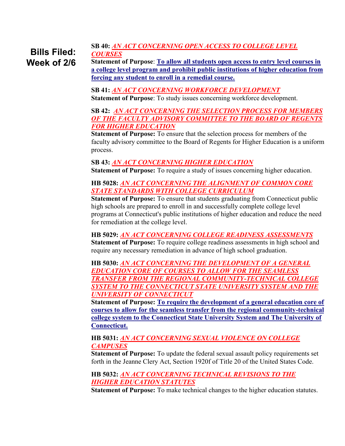#### **SB 40:** *[AN ACT CONCERNING OPEN ACCESS TO COLLEGE LEVEL](http://www.cga.ct.gov/asp/cgabillstatus/cgabillstatus.asp?selBillType=Bill&bill_num=40&which_year=2012&SUBMIT1.x=0&SUBMIT1.y=0)  [COURSES](http://www.cga.ct.gov/asp/cgabillstatus/cgabillstatus.asp?selBillType=Bill&bill_num=40&which_year=2012&SUBMIT1.x=0&SUBMIT1.y=0)* **Statement of Purpose**: **To allow all students open access to entry level courses in Bills Filed: Week of 2/6**

**a college level program and prohibit public institutions of higher education from forcing any student to enroll in a remedial course.**

**SB 41:** *[AN ACT CONCERNING WORKFORCE DEVELOPMENT](http://www.cga.ct.gov/asp/cgabillstatus/cgabillstatus.asp?selBillType=Bill&bill_num=41&which_year=2012&SUBMIT1.x=0&SUBMIT1.y=0)*

**Statement of Purpose**: To study issues concerning workforce development.

#### **SB 42:** *[AN ACT CONCERNING THE SELECTION PROCESS FOR MEMBERS](http://www.cga.ct.gov/asp/cgabillstatus/cgabillstatus.asp?selBillType=Bill&bill_num=42&which_year=2012&SUBMIT1.x=0&SUBMIT1.y=0)  [OF THE FACULTY ADVISORY COMMITTEE TO THE BOARD OF REGENTS](http://www.cga.ct.gov/asp/cgabillstatus/cgabillstatus.asp?selBillType=Bill&bill_num=42&which_year=2012&SUBMIT1.x=0&SUBMIT1.y=0)  [FOR HIGHER EDUCATION](http://www.cga.ct.gov/asp/cgabillstatus/cgabillstatus.asp?selBillType=Bill&bill_num=42&which_year=2012&SUBMIT1.x=0&SUBMIT1.y=0)*

**Statement of Purpose:** To ensure that the selection process for members of the faculty advisory committee to the Board of Regents for Higher Education is a uniform process.

**SB 43:** *[AN ACT CONCERNING HIGHER EDUCATION](http://www.cga.ct.gov/asp/cgabillstatus/cgabillstatus.asp?selBillType=Bill&bill_num=43&which_year=2012&SUBMIT1.x=0&SUBMIT1.y=0)*

**Statement of Purpose:** To require a study of issues concerning higher education.

#### **HB 5028:** *[AN ACT CONCERNING THE ALIGNMENT OF COMMON CORE](http://www.cga.ct.gov/asp/cgabillstatus/cgabillstatus.asp?selBillType=Bill&bill_num=5028&which_year=2012&SUBMIT1.x=0&SUBMIT1.y=0)  [STATE STANDARDS WITH COLLEGE CURRICULUM](http://www.cga.ct.gov/asp/cgabillstatus/cgabillstatus.asp?selBillType=Bill&bill_num=5028&which_year=2012&SUBMIT1.x=0&SUBMIT1.y=0)*

**Statement of Purpose:** To ensure that students graduating from Connecticut public high schools are prepared to enroll in and successfully complete college level programs at Connecticut's public institutions of higher education and reduce the need for remediation at the college level.

#### **HB 5029:** *[AN ACT CONCERNING COLLEGE READINESS ASSESSMENTS](http://www.cga.ct.gov/asp/cgabillstatus/cgabillstatus.asp?selBillType=Bill&bill_num=5029&which_year=2012&SUBMIT1.x=0&SUBMIT1.y=0)*

**Statement of Purpose:** To require college readiness assessments in high school and require any necessary remediation in advance of high school graduation.

**HB 5030:** *[AN ACT CONCERNING THE DEVELOPMENT OF A GENERAL](http://www.cga.ct.gov/asp/cgabillstatus/cgabillstatus.asp?selBillType=Bill&bill_num=5030&which_year=2012&SUBMIT1.x=0&SUBMIT1.y=0)  [EDUCATION CORE OF COURSES TO ALLOW FOR THE SEAMLESS](http://www.cga.ct.gov/asp/cgabillstatus/cgabillstatus.asp?selBillType=Bill&bill_num=5030&which_year=2012&SUBMIT1.x=0&SUBMIT1.y=0)  [TRANSFER FROM THE REGIONAL COMMUNITY-TECHNICAL COLLEGE](http://www.cga.ct.gov/asp/cgabillstatus/cgabillstatus.asp?selBillType=Bill&bill_num=5030&which_year=2012&SUBMIT1.x=0&SUBMIT1.y=0)  [SYSTEM TO THE CONNECTICUT STATE UNIVERSITY SYSTEM AND THE](http://www.cga.ct.gov/asp/cgabillstatus/cgabillstatus.asp?selBillType=Bill&bill_num=5030&which_year=2012&SUBMIT1.x=0&SUBMIT1.y=0)  [UNIVERSITY OF CONNECTICUT](http://www.cga.ct.gov/asp/cgabillstatus/cgabillstatus.asp?selBillType=Bill&bill_num=5030&which_year=2012&SUBMIT1.x=0&SUBMIT1.y=0)*

**Statement of Purpose: To require the development of a general education core of courses to allow for the seamless transfer from the regional community-technical college system to the Connecticut State University System and The University of Connecticut.**

#### **HB 5031:** *[AN ACT CONCERNING SEXUAL VIOLENCE ON COLLEGE](http://www.cga.ct.gov/asp/cgabillstatus/cgabillstatus.asp?selBillType=Bill&bill_num=5031&which_year=2012&SUBMIT1.x=0&SUBMIT1.y=0)  [CAMPUSES](http://www.cga.ct.gov/asp/cgabillstatus/cgabillstatus.asp?selBillType=Bill&bill_num=5031&which_year=2012&SUBMIT1.x=0&SUBMIT1.y=0)*

**Statement of Purpose:** To update the federal sexual assault policy requirements set forth in the Jeanne Clery Act, Section 1920f of Title 20 of the United States Code.

#### **HB 5032:** *[AN ACT CONCERNING TECHNICAL REVISIONS TO THE](http://www.cga.ct.gov/asp/cgabillstatus/cgabillstatus.asp?selBillType=Bill&bill_num=5032&which_year=2012&SUBMIT1.x=0&SUBMIT1.y=0)  [HIGHER EDUCATION STATUTES](http://www.cga.ct.gov/asp/cgabillstatus/cgabillstatus.asp?selBillType=Bill&bill_num=5032&which_year=2012&SUBMIT1.x=0&SUBMIT1.y=0)*

**Statement of Purpose:** To make technical changes to the higher education statutes.